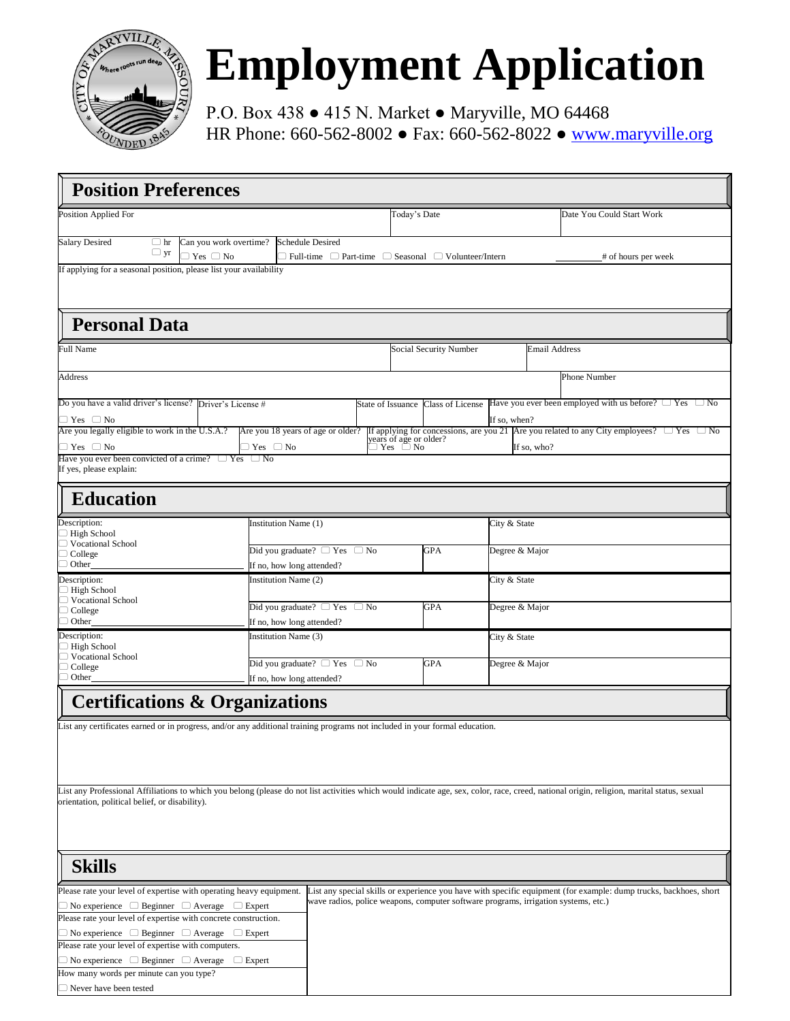

# **Employment Application**

P.O. Box 438 ● 415 N. Market ● Maryville, MO 64468 HR Phone: 660-562-8002 ● Fax: 660-562-8022 ● [www.maryville.org](http://www.maryville.org/)

| <b>Position Preferences</b>                                                                                                                                                                |                                                      |                                        |                                                                                    |                                        |                        |                |                      |                           |                                                                                                                   |
|--------------------------------------------------------------------------------------------------------------------------------------------------------------------------------------------|------------------------------------------------------|----------------------------------------|------------------------------------------------------------------------------------|----------------------------------------|------------------------|----------------|----------------------|---------------------------|-------------------------------------------------------------------------------------------------------------------|
| <b>Position Applied For</b>                                                                                                                                                                |                                                      |                                        |                                                                                    | Today's Date                           |                        |                |                      | Date You Could Start Work |                                                                                                                   |
| <b>Salary Desired</b><br>$\Box$ hr<br>$\Box$ yr                                                                                                                                            | Can you work overtime?<br>$\supset$ Yes $\supset$ No | Schedule Desired                       | $\Box$ Full-time $\Box$ Part-time $\Box$ Seasonal $\Box$ Volunteer/Intern          |                                        |                        |                |                      |                           | # of hours per week                                                                                               |
| If applying for a seasonal position, please list your availability                                                                                                                         |                                                      |                                        |                                                                                    |                                        |                        |                |                      |                           |                                                                                                                   |
|                                                                                                                                                                                            |                                                      |                                        |                                                                                    |                                        |                        |                |                      |                           |                                                                                                                   |
| <b>Personal Data</b>                                                                                                                                                                       |                                                      |                                        |                                                                                    |                                        |                        |                |                      |                           |                                                                                                                   |
| <b>Full Name</b>                                                                                                                                                                           |                                                      |                                        |                                                                                    |                                        | Social Security Number |                | <b>Email Address</b> |                           |                                                                                                                   |
| Address                                                                                                                                                                                    |                                                      |                                        |                                                                                    |                                        |                        |                |                      | Phone Number              |                                                                                                                   |
| Do you have a valid driver's license? Driver's License #                                                                                                                                   |                                                      |                                        |                                                                                    | State of Issuance                      | Class of License       |                |                      |                           | Have you ever been employed with us before? $\Box$ Yes $\Box$ No                                                  |
| $\Box$ Yes $\Box$ No<br>Are you legally eligible to work in the U.S.A.?                                                                                                                    |                                                      | Are you 18 years of age or older?      |                                                                                    |                                        |                        | If so, when?   |                      |                           | If applying for concessions, are you 21 Are you related to any City employees? $\Box$ Yes $\Box$ No               |
| $\Box$ Yes $\Box$ No                                                                                                                                                                       |                                                      | ⊃ Yes ⊔ No                             |                                                                                    | years of age or older?<br>⊃ Yes   □ No |                        |                | If so, who?          |                           |                                                                                                                   |
| Have you ever been convicted of a crime?<br>If yes, please explain:                                                                                                                        | $\Box$ Yes                                           | $\Box$ No                              |                                                                                    |                                        |                        |                |                      |                           |                                                                                                                   |
| <b>Education</b>                                                                                                                                                                           |                                                      |                                        |                                                                                    |                                        |                        |                |                      |                           |                                                                                                                   |
| Description:                                                                                                                                                                               | Institution Name (1)                                 |                                        |                                                                                    |                                        |                        | City & State   |                      |                           |                                                                                                                   |
| $\Box$ High School                                                                                                                                                                         |                                                      |                                        |                                                                                    |                                        |                        |                |                      |                           |                                                                                                                   |
| □ Vocational School<br>$\Box$ College                                                                                                                                                      |                                                      |                                        | Did you graduate? $\Box$ Yes $\Box$ No                                             |                                        | GPA                    |                | Degree & Major       |                           |                                                                                                                   |
| $\Box$ Other                                                                                                                                                                               |                                                      | If no, how long attended?              |                                                                                    |                                        |                        |                |                      |                           |                                                                                                                   |
| Description:<br>$\Box$ High School<br>□ Vocational School<br>$\Box$ College                                                                                                                |                                                      | Institution Name (2)                   |                                                                                    |                                        |                        | City & State   |                      |                           |                                                                                                                   |
|                                                                                                                                                                                            |                                                      | Did you graduate? $\Box$ Yes $\Box$ No |                                                                                    | GPA                                    | Degree & Major         |                |                      |                           |                                                                                                                   |
| $\Box$ Other                                                                                                                                                                               |                                                      | If no, how long attended?              |                                                                                    |                                        |                        |                |                      |                           |                                                                                                                   |
| Description:<br>$\Box$ High School                                                                                                                                                         |                                                      | Institution Name (3)                   |                                                                                    |                                        |                        |                | City & State         |                           |                                                                                                                   |
| $\Box$ Vocational School                                                                                                                                                                   | Did you graduate? $\Box$ Yes<br>$\Box$ No            |                                        |                                                                                    | GPA                                    |                        | Degree & Major |                      |                           |                                                                                                                   |
| $\Box$ College<br>Other                                                                                                                                                                    | If no, how long attended?                            |                                        |                                                                                    |                                        |                        |                |                      |                           |                                                                                                                   |
| <b>Certifications &amp; Organizations</b>                                                                                                                                                  |                                                      |                                        |                                                                                    |                                        |                        |                |                      |                           |                                                                                                                   |
|                                                                                                                                                                                            |                                                      |                                        |                                                                                    |                                        |                        |                |                      |                           |                                                                                                                   |
| List any certificates earned or in progress, and/or any additional training programs not included in your formal education.                                                                |                                                      |                                        |                                                                                    |                                        |                        |                |                      |                           |                                                                                                                   |
|                                                                                                                                                                                            |                                                      |                                        |                                                                                    |                                        |                        |                |                      |                           |                                                                                                                   |
|                                                                                                                                                                                            |                                                      |                                        |                                                                                    |                                        |                        |                |                      |                           |                                                                                                                   |
| List any Professional Affiliations to which you belong (please do not list activities which would indicate age, sex, color, race, creed, national origin, religion, marital status, sexual |                                                      |                                        |                                                                                    |                                        |                        |                |                      |                           |                                                                                                                   |
| orientation, political belief, or disability).                                                                                                                                             |                                                      |                                        |                                                                                    |                                        |                        |                |                      |                           |                                                                                                                   |
|                                                                                                                                                                                            |                                                      |                                        |                                                                                    |                                        |                        |                |                      |                           |                                                                                                                   |
|                                                                                                                                                                                            |                                                      |                                        |                                                                                    |                                        |                        |                |                      |                           |                                                                                                                   |
|                                                                                                                                                                                            |                                                      |                                        |                                                                                    |                                        |                        |                |                      |                           |                                                                                                                   |
| <b>Skills</b>                                                                                                                                                                              |                                                      |                                        |                                                                                    |                                        |                        |                |                      |                           |                                                                                                                   |
| Please rate your level of expertise with operating heavy equipment.                                                                                                                        |                                                      |                                        |                                                                                    |                                        |                        |                |                      |                           | List any special skills or experience you have with specific equipment (for example: dump trucks, backhoes, short |
| $\Box$ No experience $\Box$ Beginner $\Box$ Average $\Box$ Expert<br>Please rate your level of expertise with concrete construction.                                                       |                                                      |                                        | wave radios, police weapons, computer software programs, irrigation systems, etc.) |                                        |                        |                |                      |                           |                                                                                                                   |
| $\Box$ No experience $\Box$ Beginner $\Box$ Average $\Box$ Expert                                                                                                                          |                                                      |                                        |                                                                                    |                                        |                        |                |                      |                           |                                                                                                                   |
| Please rate your level of expertise with computers.                                                                                                                                        |                                                      |                                        |                                                                                    |                                        |                        |                |                      |                           |                                                                                                                   |
| $\Box$ No experience $\Box$ Beginner $\Box$ Average $\Box$ Expert                                                                                                                          |                                                      |                                        |                                                                                    |                                        |                        |                |                      |                           |                                                                                                                   |
| How many words per minute can you type?                                                                                                                                                    |                                                      |                                        |                                                                                    |                                        |                        |                |                      |                           |                                                                                                                   |
| $\Box$ Never have been tested                                                                                                                                                              |                                                      |                                        |                                                                                    |                                        |                        |                |                      |                           |                                                                                                                   |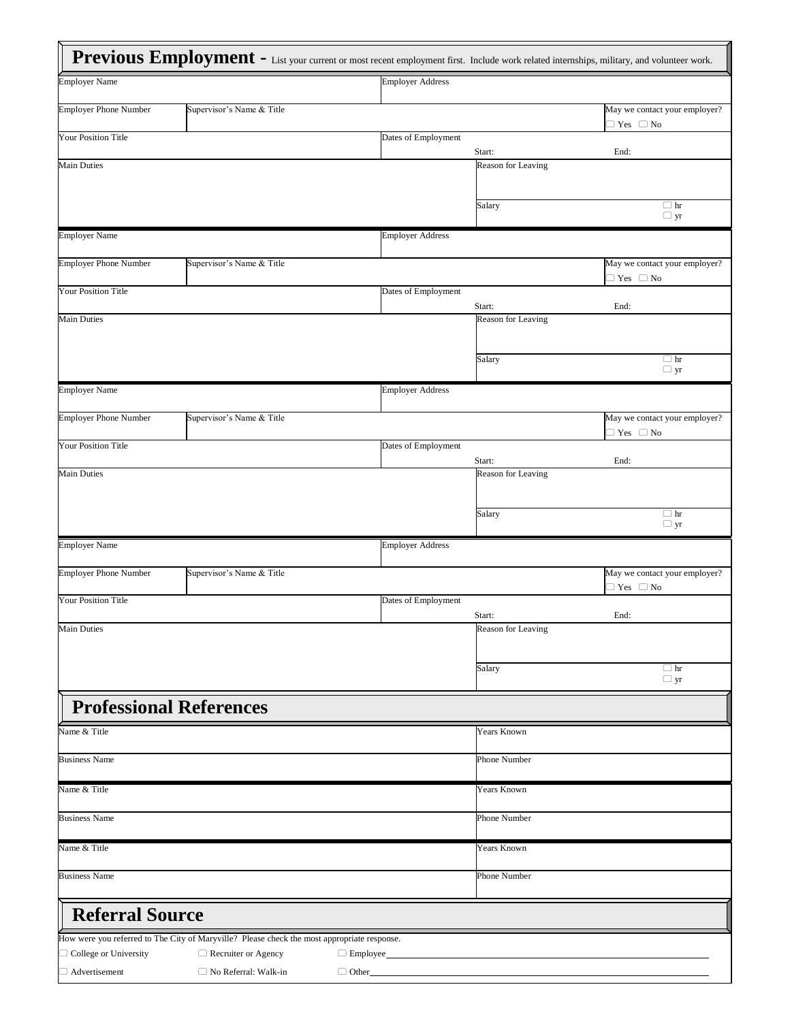|                                | Previous Employment - List your current or most recent employment first. Include work related internships, military, and volunteer work. |                         |                              |                                                             |
|--------------------------------|------------------------------------------------------------------------------------------------------------------------------------------|-------------------------|------------------------------|-------------------------------------------------------------|
| <b>Employer Name</b>           |                                                                                                                                          | <b>Employer Address</b> |                              |                                                             |
| <b>Employer Phone Number</b>   | Supervisor's Name & Title                                                                                                                |                         |                              | May we contact your employer?<br>$\supset$ Yes $\supset$ No |
| <b>Your Position Title</b>     |                                                                                                                                          | Dates of Employment     |                              |                                                             |
| <b>Main Duties</b>             |                                                                                                                                          |                         | Start:<br>Reason for Leaving | End:                                                        |
|                                |                                                                                                                                          |                         |                              |                                                             |
|                                |                                                                                                                                          |                         | Salary                       | $\Box$ hr<br>$\Box$ yr                                      |
| <b>Employer Name</b>           |                                                                                                                                          | <b>Employer Address</b> |                              |                                                             |
| <b>Employer Phone Number</b>   | Supervisor's Name & Title                                                                                                                |                         |                              | May we contact your employer?                               |
| <b>Your Position Title</b>     |                                                                                                                                          | Dates of Employment     |                              | $\supset$ Yes $\supset$ No                                  |
|                                |                                                                                                                                          |                         | Start:                       | End:                                                        |
| <b>Main Duties</b>             |                                                                                                                                          |                         | Reason for Leaving           |                                                             |
|                                |                                                                                                                                          |                         | Salary                       | $\Box$ hr                                                   |
|                                |                                                                                                                                          |                         |                              | $\Box$ yr                                                   |
| <b>Employer Name</b>           |                                                                                                                                          | <b>Employer Address</b> |                              |                                                             |
| <b>Employer Phone Number</b>   | Supervisor's Name & Title                                                                                                                |                         |                              | May we contact your employer?                               |
| <b>Your Position Title</b>     |                                                                                                                                          | Dates of Employment     |                              | $\supset$ Yes $\supset$ No                                  |
|                                |                                                                                                                                          |                         | Start:                       | End:                                                        |
| <b>Main Duties</b>             |                                                                                                                                          |                         | Reason for Leaving           |                                                             |
|                                |                                                                                                                                          |                         |                              |                                                             |
|                                |                                                                                                                                          |                         | Salary                       | $\Box$ hr<br>$\Box$ yr                                      |
| <b>Employer Name</b>           |                                                                                                                                          | <b>Employer Address</b> |                              |                                                             |
| <b>Employer Phone Number</b>   | Supervisor's Name & Title                                                                                                                |                         |                              | May we contact your employer?<br>$\supset$ Yes $\supset$ No |
| <b>Your Position Title</b>     |                                                                                                                                          | Dates of Employment     |                              |                                                             |
| Main Duties                    |                                                                                                                                          |                         | Start:<br>Reason for Leaving | End:                                                        |
|                                |                                                                                                                                          |                         |                              |                                                             |
|                                |                                                                                                                                          |                         | Salary                       | $\Box$ hr                                                   |
|                                |                                                                                                                                          |                         |                              | $\Box$ yr                                                   |
| <b>Professional References</b> |                                                                                                                                          |                         |                              |                                                             |
| Name & Title                   |                                                                                                                                          |                         | Years Known                  |                                                             |
| <b>Business Name</b>           |                                                                                                                                          |                         | Phone Number                 |                                                             |
| Name & Title                   |                                                                                                                                          |                         | Years Known                  |                                                             |
| <b>Business Name</b>           |                                                                                                                                          |                         | Phone Number                 |                                                             |
|                                |                                                                                                                                          |                         |                              |                                                             |
| Name & Title                   |                                                                                                                                          |                         | Years Known                  |                                                             |
| <b>Business Name</b>           |                                                                                                                                          |                         | Phone Number                 |                                                             |
| <b>Referral Source</b>         |                                                                                                                                          |                         |                              |                                                             |
|                                | How were you referred to The City of Maryville? Please check the most appropriate response.                                              |                         |                              |                                                             |
| $\Box$ College or University   | $\Box$ Recruiter or Agency                                                                                                               | $\Box$ Employee         |                              |                                                             |
| $\Box$ Advertisement           | $\Box$ No Referral: Walk-in                                                                                                              | $\Box$ Other            |                              |                                                             |